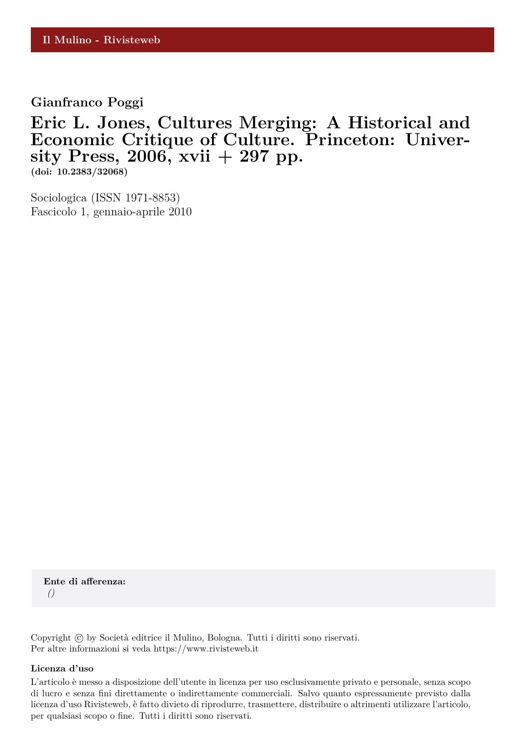**Gianfranco Poggi**

## **Eric L. Jones, Cultures Merging: A Historical and Economic Critique of Culture. Princeton: University Press, 2006, xvii + 297 pp.**

**(doi: 10.2383/32068)**

Sociologica (ISSN 1971-8853) Fascicolo 1, gennaio-aprile 2010

**Ente di afferenza:** *()*

Copyright © by Società editrice il Mulino, Bologna. Tutti i diritti sono riservati. Per altre informazioni si veda https://www.rivisteweb.it

## **Licenza d'uso**

L'articolo è messo a disposizione dell'utente in licenza per uso esclusivamente privato e personale, senza scopo di lucro e senza fini direttamente o indirettamente commerciali. Salvo quanto espressamente previsto dalla licenza d'uso Rivisteweb, è fatto divieto di riprodurre, trasmettere, distribuire o altrimenti utilizzare l'articolo, per qualsiasi scopo o fine. Tutti i diritti sono riservati.